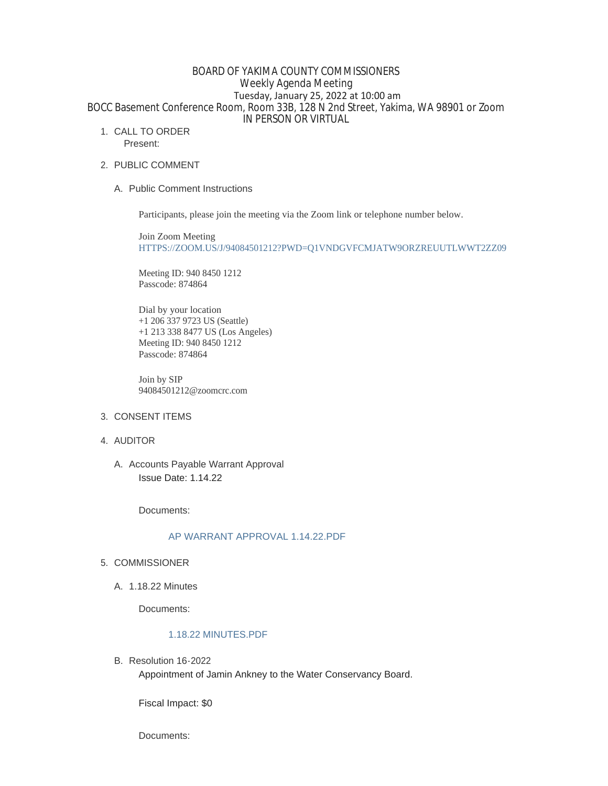# BOARD OF YAKIMA COUNTY COMMISSIONERS Weekly Agenda Meeting Tuesday, January 25, 2022 at 10:00 am BOCC Basement Conference Room, Room 33B, 128 N 2nd Street, Yakima, WA 98901 or Zoom IN PERSON OR VIRTUAL

1. CALL TO ORDER

Present:

- 2. PUBLIC COMMENT
	- A. Public Comment Instructions

Participants, please join the meeting via the Zoom link or telephone number below.

Join Zoom Meeting [HTTPS://ZOOM.US/J/94084501212?PWD=Q1VNDGVFCMJATW9ORZREUUTLWWT2ZZ09](https://zoom.us/j/94084501212?pwd=Q1VNdGVFcmJaTW9ORzREUUtlWWt2Zz09)

Meeting ID: 940 8450 1212 Passcode: 874864

Dial by your location +1 206 337 9723 US (Seattle) +1 213 338 8477 US (Los Angeles) Meeting ID: 940 8450 1212 Passcode: 874864

Join by SIP 94084501212@zoomcrc.com

- 3. CONSENT ITEMS
- 4. AUDITOR

A. Accounts Payable Warrant Approval Issue Date: 1.14.22

Documents:

# [AP WARRANT APPROVAL 1.14.22.PDF](https://www.yakimacounty.us/AgendaCenter/ViewFile/Item/3736?fileID=15578)

- 5. COMMISSIONER
	- A. 1.18.22 Minutes

Documents:

## [1.18.22 MINUTES.PDF](https://www.yakimacounty.us/AgendaCenter/ViewFile/Item/3735?fileID=15577)

B. Resolution 16-2022

Appointment of Jamin Ankney to the Water Conservancy Board.

Fiscal Impact: \$0

Documents: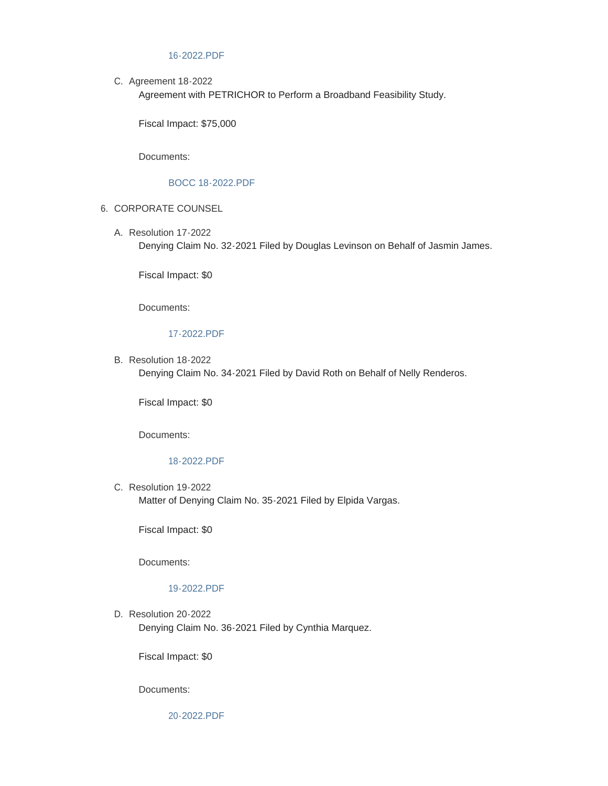#### [16-2022.PDF](https://www.yakimacounty.us/AgendaCenter/ViewFile/Item/3737?fileID=15579)

C. Agreement 18-2022

Agreement with PETRICHOR to Perform a Broadband Feasibility Study.

Fiscal Impact: \$75,000

Documents:

### [BOCC 18-2022.PDF](https://www.yakimacounty.us/AgendaCenter/ViewFile/Item/3734?fileID=15584)

- 6. CORPORATE COUNSEL
	- Resolution 17-2022 A. Denying Claim No. 32-2021 Filed by Douglas Levinson on Behalf of Jasmin James.

Fiscal Impact: \$0

Documents:

## [17-2022.PDF](https://www.yakimacounty.us/AgendaCenter/ViewFile/Item/3738?fileID=15580)

B. Resolution 18-2022 Denying Claim No. 34-2021 Filed by David Roth on Behalf of Nelly Renderos.

Fiscal Impact: \$0

Documents:

## [18-2022.PDF](https://www.yakimacounty.us/AgendaCenter/ViewFile/Item/3739?fileID=15581)

C. Resolution 19-2022 Matter of Denying Claim No. 35-2021 Filed by Elpida Vargas.

Fiscal Impact: \$0

Documents:

## [19-2022.PDF](https://www.yakimacounty.us/AgendaCenter/ViewFile/Item/3740?fileID=15582)

D. Resolution 20-2022 Denying Claim No. 36-2021 Filed by Cynthia Marquez.

Fiscal Impact: \$0

Documents:

[20-2022.PDF](https://www.yakimacounty.us/AgendaCenter/ViewFile/Item/3741?fileID=15583)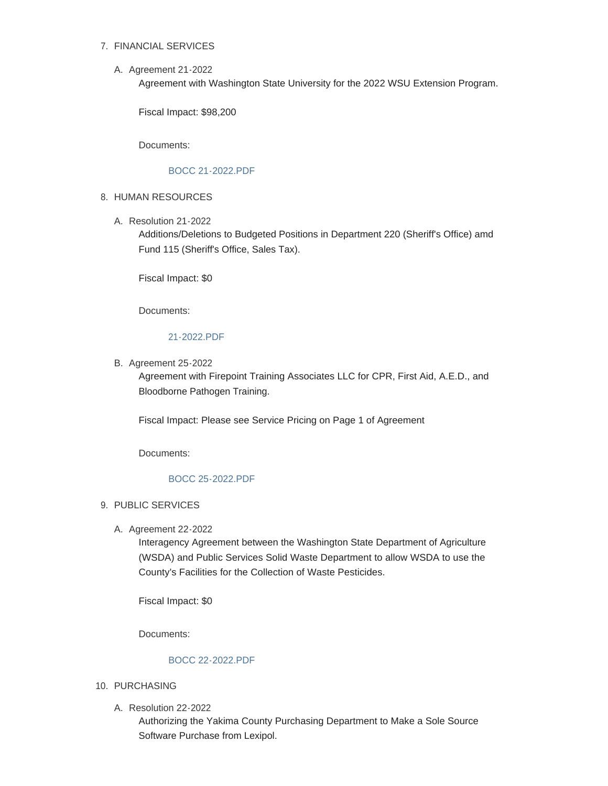# FINANCIAL SERVICES 7.

A. Agreement 21-2022

Agreement with Washington State University for the 2022 WSU Extension Program.

Fiscal Impact: \$98,200

Documents:

#### [BOCC 21-2022.PDF](https://www.yakimacounty.us/AgendaCenter/ViewFile/Item/3751?fileID=15585)

- 8. HUMAN RESOURCES
	- Resolution 21-2022 A.

Additions/Deletions to Budgeted Positions in Department 220 (Sheriff's Office) amd Fund 115 (Sheriff's Office, Sales Tax).

Fiscal Impact: \$0

Documents:

## [21-2022.PDF](https://www.yakimacounty.us/AgendaCenter/ViewFile/Item/3757?fileID=15589)

**B.** Agreement 25-2022

Agreement with Firepoint Training Associates LLC for CPR, First Aid, A.E.D., and Bloodborne Pathogen Training.

Fiscal Impact: Please see Service Pricing on Page 1 of Agreement

Documents:

#### [BOCC 25-2022.PDF](https://www.yakimacounty.us/AgendaCenter/ViewFile/Item/3758?fileID=15590)

## 9. PUBLIC SERVICES

A. Agreement 22-2022

Interagency Agreement between the Washington State Department of Agriculture (WSDA) and Public Services Solid Waste Department to allow WSDA to use the County's Facilities for the Collection of Waste Pesticides.

Fiscal Impact: \$0

Documents:

#### [BOCC 22-2022.PDF](https://www.yakimacounty.us/AgendaCenter/ViewFile/Item/3752?fileID=15586)

- 10. PURCHASING
	- A. Resolution 22-2022

Authorizing the Yakima County Purchasing Department to Make a Sole Source Software Purchase from Lexipol.